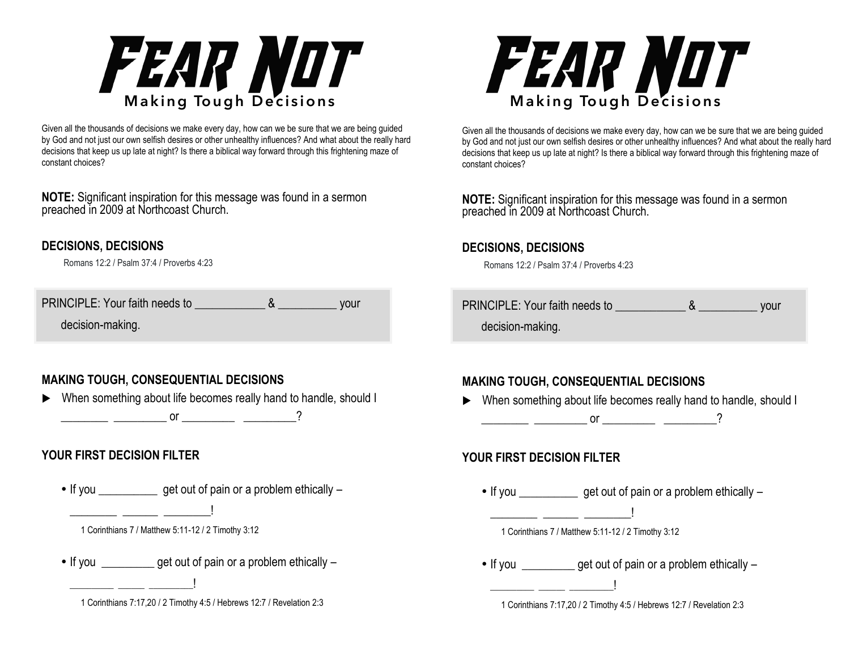

Given all the thousands of decisions we make every day, how can we be sure that we are being guided by God and not just our own selfish desires or other unhealthy influences? And what about the really hard decisions that keep us up late at night? Is there a biblical way forward through this frightening maze of constant choices?

**NOTE:** Significant inspiration for this message was found in a sermon preached in 2009 at Northcoast Church.

#### **DECISIONS, DECISIONS**

Romans 12:2 / Psalm 37:4 / Proverbs 4:23

| PRINCIPLE: Your faith needs to | vour |
|--------------------------------|------|
| decision-making.               |      |

# **MAKING TOUGH, CONSEQUENTIAL DECISIONS**

▶ When something about life becomes really hand to handle, should I  $\frac{1}{\sqrt{2\pi}}$   $\frac{1}{\sqrt{2\pi}}$  or  $\frac{1}{\sqrt{2\pi}}$   $\frac{1}{\sqrt{2\pi}}$  ?

# **YOUR FIRST DECISION FILTER**

- If you get out of pain or a problem ethically
	- 1 Corinthians 7 / Matthew 5:11-12 / 2 Timothy 3:12

\_\_\_\_\_\_\_\_ \_\_\_\_\_\_ \_\_\_\_\_\_\_\_!

• If you get out of pain or a problem ethically –



Given all the thousands of decisions we make every day, how can we be sure that we are being guided by God and not just our own selfish desires or other unhealthy influences? And what about the really hard decisions that keep us up late at night? Is there a biblical way forward through this frightening maze of constant choices?

**NOTE:** Significant inspiration for this message was found in a sermon preached in 2009 at Northcoast Church.

#### **DECISIONS, DECISIONS**

Romans 12:2 / Psalm 37:4 / Proverbs 4:23

PRINCIPLE: Your faith needs to **Example 28** Your decision-making.

# **MAKING TOUGH, CONSEQUENTIAL DECISIONS**

▶ When something about life becomes really hand to handle, should I \_\_\_\_\_\_\_\_ \_\_\_\_\_\_\_\_\_ or \_\_\_\_\_\_\_\_\_ \_\_\_\_\_\_\_\_\_?

#### **YOUR FIRST DECISION FILTER**

• If you **get out of pain or a problem ethically –** 

• If you get out of pain or a problem ethically –

1 Corinthians 7:17,20 / 2 Timothy 4:5 / Hebrews 12:7 / Revelation 2:3

 <sup>1</sup> Corinthians 7:17,20 / 2 Timothy 4:5 / Hebrews 12:7 / Revelation 2:3

 <sup>1</sup> Corinthians 7 / Matthew 5:11-12 / 2 Timothy 3:12